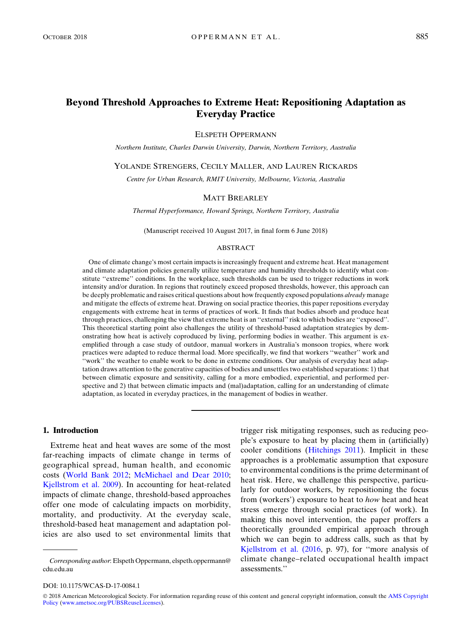# Beyond Threshold Approaches to Extreme Heat: Repositioning Adaptation as Everyday Practice

ELSPETH OPPERMANN

Northern Institute, Charles Darwin University, Darwin, Northern Territory, Australia

YOLANDE STRENGERS, CECILY MALLER, AND LAUREN RICKARDS

Centre for Urban Research, RMIT University, Melbourne, Victoria, Australia

#### MATT BREARLEY

Thermal Hyperformance, Howard Springs, Northern Territory, Australia

(Manuscript received 10 August 2017, in final form 6 June 2018)

#### ABSTRACT

One of climate change's most certain impacts is increasingly frequent and extreme heat. Heat management and climate adaptation policies generally utilize temperature and humidity thresholds to identify what constitute "extreme" conditions. In the workplace, such thresholds can be used to trigger reductions in work intensity and/or duration. In regions that routinely exceed proposed thresholds, however, this approach can be deeply problematic and raises critical questions about how frequently exposed populations *already* manage and mitigate the effects of extreme heat. Drawing on social practice theories, this paper repositions everyday engagements with extreme heat in terms of practices of work. It finds that bodies absorb and produce heat through practices, challenging the view that extreme heat is an ''external'' risk to which bodies are ''exposed''. This theoretical starting point also challenges the utility of threshold-based adaptation strategies by demonstrating how heat is actively coproduced by living, performing bodies in weather. This argument is exemplified through a case study of outdoor, manual workers in Australia's monsoon tropics, where work practices were adapted to reduce thermal load. More specifically, we find that workers ''weather'' work and ''work'' the weather to enable work to be done in extreme conditions. Our analysis of everyday heat adaptation draws attention to the generative capacities of bodies and unsettles two established separations: 1) that between climatic exposure and sensitivity, calling for a more embodied, experiential, and performed perspective and 2) that between climatic impacts and (mal)adaptation, calling for an understanding of climate adaptation, as located in everyday practices, in the management of bodies in weather.

### 1. Introduction

Extreme heat and heat waves are some of the most far-reaching impacts of climate change in terms of geographical spread, human health, and economic costs (World Bank 2012; McMichael and Dear 2010; Kjellstrom et al. 2009). In accounting for heat-related impacts of climate change, threshold-based approaches offer one mode of calculating impacts on morbidity, mortality, and productivity. At the everyday scale, threshold-based heat management and adaptation policies are also used to set environmental limits that

trigger risk mitigating responses, such as reducing people's exposure to heat by placing them in (artificially) cooler conditions (Hitchings 2011). Implicit in these approaches is a problematic assumption that exposure to environmental conditions is the prime determinant of heat risk. Here, we challenge this perspective, particularly for outdoor workers, by repositioning the focus from (workers') exposure to heat to how heat and heat stress emerge through social practices (of work). In making this novel intervention, the paper proffers a theoretically grounded empirical approach through which we can begin to address calls, such as that by Kjellstrom et al. (2016, p. 97), for ''more analysis of climate change–related occupational health impact assessments.''

DOI: 10.1175/WCAS-D-17-0084.1

© 2018 American Meteorological Society. For information regarding reuse of this content and general copyright information, consult the [AMS Copyright](http://www.ametsoc.org/PUBSReuseLicenses) [Policy](http://www.ametsoc.org/PUBSReuseLicenses) [\(www.ametsoc.org/PUBSReuseLicenses](http://www.ametsoc.org/PUBSReuseLicenses)).

Corresponding author: Elspeth Oppermann, [elspeth.oppermann@](mailto:elspeth.oppermann@cdu.edu.au) [cdu.edu.au](mailto:elspeth.oppermann@cdu.edu.au)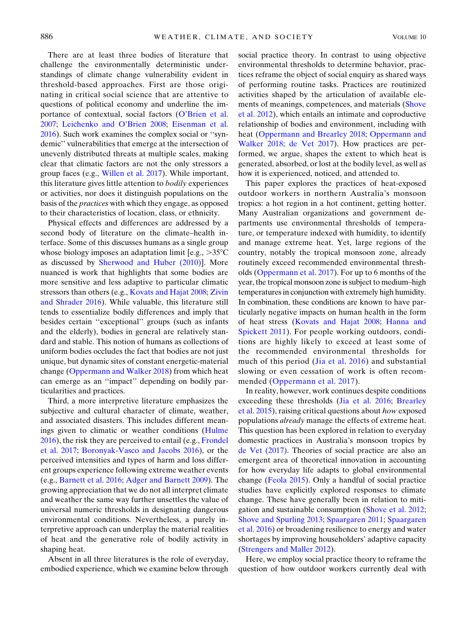There are at least three bodies of literature that challenge the environmentally deterministic understandings of climate change vulnerability evident in threshold-based approaches. First are those originating in critical social science that are attentive to questions of political economy and underline the importance of contextual, social factors (O'Brien et al. 2007; Leichenko and O'Brien 2008; Eisenman et al. 2016). Such work examines the complex social or ''syndemic'' vulnerabilities that emerge at the intersection of unevenly distributed threats at multiple scales, making clear that climatic factors are not the only stressors a group faces (e.g., Willen et al. 2017). While important, this literature gives little attention to bodily experiences or activities, nor does it distinguish populations on the basis of the practices with which they engage, as opposed to their characteristics of location, class, or ethnicity.

Physical effects and differences are addressed by a second body of literature on the climate–health interface. Some of this discusses humans as a single group whose biology imposes an adaptation limit [e.g.,  $>35^{\circ}$ C as discussed by Sherwood and Huber (2010)]. More nuanced is work that highlights that some bodies are more sensitive and less adaptive to particular climatic stressors than others (e.g., Kovats and Hajat 2008; Zivin and Shrader 2016). While valuable, this literature still tends to essentialize bodily differences and imply that besides certain ''exceptional'' groups (such as infants and the elderly), bodies in general are relatively standard and stable. This notion of humans as collections of uniform bodies occludes the fact that bodies are not just unique, but dynamic sites of constant energetic-material change (Oppermann and Walker 2018) from which heat can emerge as an ''impact'' depending on bodily particularities and practices.

Third, a more interpretive literature emphasizes the subjective and cultural character of climate, weather, and associated disasters. This includes different meanings given to climatic or weather conditions (Hulme 2016), the risk they are perceived to entail (e.g., Frondel et al. 2017; Boronyak-Vasco and Jacobs 2016), or the perceived intensities and types of harm and loss different groups experience following extreme weather events (e.g., Barnett et al. 2016; Adger and Barnett 2009). The growing appreciation that we do not all interpret climate and weather the same way further unsettles the value of universal numeric thresholds in designating dangerous environmental conditions. Nevertheless, a purely interpretive approach can underplay the material realities of heat and the generative role of bodily activity in shaping heat.

Absent in all three literatures is the role of everyday, embodied experience, which we examine below through social practice theory. In contrast to using objective environmental thresholds to determine behavior, practices reframe the object of social enquiry as shared ways of performing routine tasks. Practices are routinized activities shaped by the articulation of available elements of meanings, competences, and materials (Shove et al. 2012), which entails an intimate and coproductive relationship of bodies and environment, including with heat (Oppermann and Brearley 2018; Oppermann and Walker 2018; de Vet 2017). How practices are performed, we argue, shapes the extent to which heat is generated, absorbed, or lost at the bodily level, as well as how it is experienced, noticed, and attended to.

This paper explores the practices of heat-exposed outdoor workers in northern Australia's monsoon tropics: a hot region in a hot continent, getting hotter. Many Australian organizations and government departments use environmental thresholds of temperature, or temperature indexed with humidity, to identify and manage extreme heat. Yet, large regions of the country, notably the tropical monsoon zone, already routinely exceed recommended environmental thresholds (Oppermann et al. 2017). For up to 6 months of the year, the tropical monsoon zone is subject to medium–high temperatures in conjunction with extremely high humidity. In combination, these conditions are known to have particularly negative impacts on human health in the form of heat stress (Kovats and Hajat 2008; Hanna and Spickett 2011). For people working outdoors, conditions are highly likely to exceed at least some of the recommended environmental thresholds for much of this period (Jia et al. 2016) and substantial slowing or even cessation of work is often recommended (Oppermann et al. 2017).

In reality, however, work continues despite conditions exceeding these thresholds (Jia et al. 2016; Brearley et al. 2015), raising critical questions about how exposed populations *already* manage the effects of extreme heat. This question has been explored in relation to everyday domestic practices in Australia's monsoon tropics by de Vet (2017). Theories of social practice are also an emergent area of theoretical innovation in accounting for how everyday life adapts to global environmental change (Feola 2015). Only a handful of social practice studies have explicitly explored responses to climate change. These have generally been in relation to mitigation and sustainable consumption (Shove et al. 2012; Shove and Spurling 2013; Spaargaren 2011; Spaargaren et al. 2016) or broadening resilience to energy and water shortages by improving householders' adaptive capacity (Strengers and Maller 2012).

Here, we employ social practice theory to reframe the question of how outdoor workers currently deal with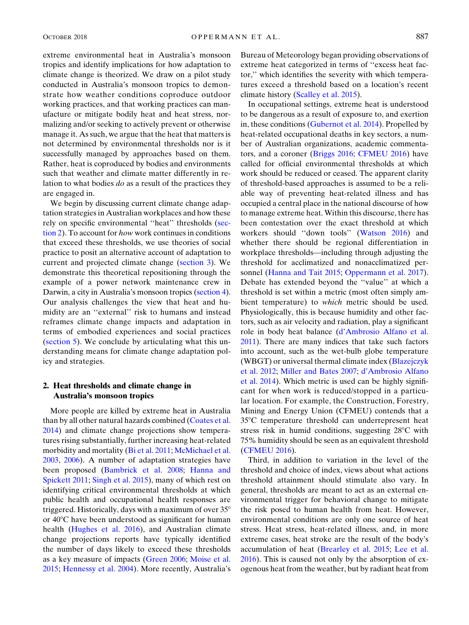extreme environmental heat in Australia's monsoon tropics and identify implications for how adaptation to climate change is theorized. We draw on a pilot study conducted in Australia's monsoon tropics to demonstrate how weather conditions coproduce outdoor working practices, and that working practices can manufacture or mitigate bodily heat and heat stress, normalizing and/or seeking to actively prevent or otherwise manage it. As such, we argue that the heat that matters is not determined by environmental thresholds nor is it successfully managed by approaches based on them. Rather, heat is coproduced by bodies and environments such that weather and climate matter differently in relation to what bodies do as a result of the practices they are engaged in.

We begin by discussing current climate change adaptation strategies in Australian workplaces and how these rely on specific environmental ''heat'' thresholds (section 2). To account for how work continues in conditions that exceed these thresholds, we use theories of social practice to posit an alternative account of adaptation to current and projected climate change (section 3). We demonstrate this theoretical repositioning through the example of a power network maintenance crew in Darwin, a city in Australia's monsoon tropics (section 4). Our analysis challenges the view that heat and humidity are an ''external'' risk to humans and instead reframes climate change impacts and adaptation in terms of embodied experiences and social practices (section 5). We conclude by articulating what this understanding means for climate change adaptation policy and strategies.

# 2. Heat thresholds and climate change in Australia's monsoon tropics

More people are killed by extreme heat in Australia than by all other natural hazards combined (Coates et al. 2014) and climate change projections show temperatures rising substantially, further increasing heat-related morbidity and mortality (Bi et al. 2011; McMichael et al. 2003, 2006). A number of adaptation strategies have been proposed (Bambrick et al. 2008; Hanna and Spickett 2011; Singh et al. 2015), many of which rest on identifying critical environmental thresholds at which public health and occupational health responses are triggered. Historically, days with a maximum of over  $35^{\circ}$ or  $40^{\circ}$ C have been understood as significant for human health (Hughes et al. 2016), and Australian climate change projections reports have typically identified the number of days likely to exceed these thresholds as a key measure of impacts (Green 2006; Moise et al. 2015; Hennessy et al. 2004). More recently, Australia's Bureau of Meteorology began providing observations of extreme heat categorized in terms of ''excess heat factor,'' which identifies the severity with which temperatures exceed a threshold based on a location's recent climate history (Scalley et al. 2015).

In occupational settings, extreme heat is understood to be dangerous as a result of exposure to, and exertion in, these conditions (Gubernot et al. 2014). Propelled by heat-related occupational deaths in key sectors, a number of Australian organizations, academic commentators, and a coroner (Briggs 2016; CFMEU 2016) have called for official environmental thresholds at which work should be reduced or ceased. The apparent clarity of threshold-based approaches is assumed to be a reliable way of preventing heat-related illness and has occupied a central place in the national discourse of how to manage extreme heat. Within this discourse, there has been contestation over the exact threshold at which workers should ''down tools'' (Watson 2016) and whether there should be regional differentiation in workplace thresholds—including through adjusting the threshold for acclimatized and nonacclimatized personnel (Hanna and Tait 2015; Oppermann et al. 2017). Debate has extended beyond the ''value'' at which a threshold is set within a metric (most often simply ambient temperature) to which metric should be used. Physiologically, this is because humidity and other factors, such as air velocity and radiation, play a significant role in body heat balance (d'Ambrosio Alfano et al. 2011). There are many indices that take such factors into account, such as the wet-bulb globe temperature (WBGT) or universal thermal climate index (Blazejczyk et al. 2012; Miller and Bates 2007; d'Ambrosio Alfano et al. 2014). Which metric is used can be highly significant for when work is reduced/stopped in a particular location. For example, the Construction, Forestry, Mining and Energy Union (CFMEU) contends that a 35°C temperature threshold can underrepresent heat stress risk in humid conditions, suggesting  $28^{\circ}$ C with 75% humidity should be seen as an equivalent threshold (CFMEU 2016).

Third, in addition to variation in the level of the threshold and choice of index, views about what actions threshold attainment should stimulate also vary. In general, thresholds are meant to act as an external environmental trigger for behavioral change to mitigate the risk posed to human health from heat. However, environmental conditions are only one source of heat stress. Heat stress, heat-related illness, and, in more extreme cases, heat stroke are the result of the body's accumulation of heat (Brearley et al. 2015; Lee et al. 2016). This is caused not only by the absorption of exogenous heat from the weather, but by radiant heat from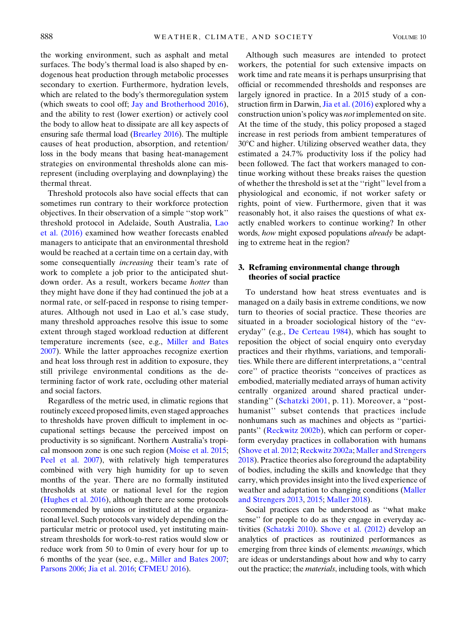the working environment, such as asphalt and metal surfaces. The body's thermal load is also shaped by endogenous heat production through metabolic processes secondary to exertion. Furthermore, hydration levels, which are related to the body's thermoregulation system (which sweats to cool off; Jay and Brotherhood 2016), and the ability to rest (lower exertion) or actively cool the body to allow heat to dissipate are all key aspects of ensuring safe thermal load (Brearley 2016). The multiple causes of heat production, absorption, and retention/ loss in the body means that basing heat-management strategies on environmental thresholds alone can misrepresent (including overplaying and downplaying) the thermal threat.

Threshold protocols also have social effects that can sometimes run contrary to their workforce protection objectives. In their observation of a simple ''stop work'' threshold protocol in Adelaide, South Australia, Lao et al. (2016) examined how weather forecasts enabled managers to anticipate that an environmental threshold would be reached at a certain time on a certain day, with some consequentially *increasing* their team's rate of work to complete a job prior to the anticipated shutdown order. As a result, workers became hotter than they might have done if they had continued the job at a normal rate, or self-paced in response to rising temperatures. Although not used in Lao et al.'s case study, many threshold approaches resolve this issue to some extent through staged workload reduction at different temperature increments (see, e.g., Miller and Bates 2007). While the latter approaches recognize exertion and heat loss through rest in addition to exposure, they still privilege environmental conditions as the determining factor of work rate, occluding other material and social factors.

Regardless of the metric used, in climatic regions that routinely exceed proposed limits, even staged approaches to thresholds have proven difficult to implement in occupational settings because the perceived impost on productivity is so significant. Northern Australia's tropical monsoon zone is one such region (Moise et al. 2015; Peel et al. 2007), with relatively high temperatures combined with very high humidity for up to seven months of the year. There are no formally instituted thresholds at state or national level for the region (Hughes et al. 2016), although there are some protocols recommended by unions or instituted at the organizational level. Such protocols vary widely depending on the particular metric or protocol used, yet instituting mainstream thresholds for work-to-rest ratios would slow or reduce work from 50 to 0 min of every hour for up to 6 months of the year (see, e.g., Miller and Bates 2007; Parsons 2006; Jia et al. 2016; CFMEU 2016).

Although such measures are intended to protect workers, the potential for such extensive impacts on work time and rate means it is perhaps unsurprising that official or recommended thresholds and responses are largely ignored in practice. In a 2015 study of a construction firm in Darwin, Jia et al. (2016) explored why a construction union's policy was not implemented on site. At the time of the study, this policy proposed a staged increase in rest periods from ambient temperatures of  $30^{\circ}$ C and higher. Utilizing observed weather data, they estimated a 24.7% productivity loss if the policy had been followed. The fact that workers managed to continue working without these breaks raises the question of whether the threshold is set at the ''right'' level from a physiological and economic, if not worker safety or rights, point of view. Furthermore, given that it was reasonably hot, it also raises the questions of what exactly enabled workers to continue working? In other words, how might exposed populations *already* be adapting to extreme heat in the region?

### 3. Reframing environmental change through theories of social practice

To understand how heat stress eventuates and is managed on a daily basis in extreme conditions, we now turn to theories of social practice. These theories are situated in a broader sociological history of the ''everyday'' (e.g., De Certeau 1984), which has sought to reposition the object of social enquiry onto everyday practices and their rhythms, variations, and temporalities. While there are different interpretations, a ''central core'' of practice theorists ''conceives of practices as embodied, materially mediated arrays of human activity centrally organized around shared practical understanding'' (Schatzki 2001, p. 11). Moreover, a ''posthumanist'' subset contends that practices include nonhumans such as machines and objects as ''participants'' (Reckwitz 2002b), which can perform or coperform everyday practices in collaboration with humans (Shove et al. 2012; Reckwitz 2002a; Maller and Strengers 2018). Practice theories also foreground the adaptability of bodies, including the skills and knowledge that they carry, which provides insight into the lived experience of weather and adaptation to changing conditions (Maller and Strengers 2013, 2015; Maller 2018).

Social practices can be understood as ''what make sense'' for people to do as they engage in everyday activities (Schatzki 2010). Shove et al. (2012) develop an analytics of practices as routinized performances as emerging from three kinds of elements: meanings, which are ideas or understandings about how and why to carry out the practice; the materials, including tools, with which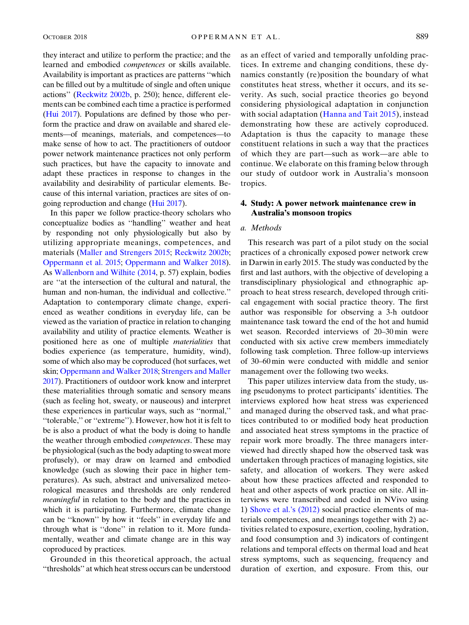they interact and utilize to perform the practice; and the learned and embodied competences or skills available. Availability is important as practices are patterns ''which can be filled out by a multitude of single and often unique actions'' (Reckwitz 2002b, p. 250); hence, different elements can be combined each time a practice is performed (Hui 2017). Populations are defined by those who perform the practice and draw on available and shared elements—of meanings, materials, and competences—to make sense of how to act. The practitioners of outdoor power network maintenance practices not only perform such practices, but have the capacity to innovate and adapt these practices in response to changes in the availability and desirability of particular elements. Because of this internal variation, practices are sites of ongoing reproduction and change (Hui 2017).

In this paper we follow practice-theory scholars who conceptualize bodies as ''handling'' weather and heat by responding not only physiologically but also by utilizing appropriate meanings, competences, and materials (Maller and Strengers 2015; Reckwitz 2002b; Oppermann et al. 2015; Oppermann and Walker 2018). As Wallenborn and Wilhite (2014, p. 57) explain, bodies are ''at the intersection of the cultural and natural, the human and non-human, the individual and collective.'' Adaptation to contemporary climate change, experienced as weather conditions in everyday life, can be viewed as the variation of practice in relation to changing availability and utility of practice elements. Weather is positioned here as one of multiple materialities that bodies experience (as temperature, humidity, wind), some of which also may be coproduced (hot surfaces, wet skin; Oppermann and Walker 2018; Strengers and Maller 2017). Practitioners of outdoor work know and interpret these materialities through somatic and sensory means (such as feeling hot, sweaty, or nauseous) and interpret these experiences in particular ways, such as ''normal,'' ''tolerable,'' or ''extreme''). However, how hot it is felt to be is also a product of what the body is doing to handle the weather through embodied competences. These may be physiological (such as the body adapting to sweat more profusely), or may draw on learned and embodied knowledge (such as slowing their pace in higher temperatures). As such, abstract and universalized meteorological measures and thresholds are only rendered meaningful in relation to the body and the practices in which it is participating. Furthermore, climate change can be ''known'' by how it ''feels'' in everyday life and through what is ''done'' in relation to it. More fundamentally, weather and climate change are in this way coproduced by practices.

Grounded in this theoretical approach, the actual ''thresholds'' at which heat stress occurs can be understood

as an effect of varied and temporally unfolding practices. In extreme and changing conditions, these dynamics constantly (re)position the boundary of what constitutes heat stress, whether it occurs, and its severity. As such, social practice theories go beyond considering physiological adaptation in conjunction with social adaptation (Hanna and Tait 2015), instead demonstrating how these are actively coproduced. Adaptation is thus the capacity to manage these constituent relations in such a way that the practices of which they are part—such as work—are able to continue. We elaborate on this framing below through our study of outdoor work in Australia's monsoon tropics.

### 4. Study: A power network maintenance crew in Australia's monsoon tropics

### a. Methods

This research was part of a pilot study on the social practices of a chronically exposed power network crew in Darwin in early 2015. The study was conducted by the first and last authors, with the objective of developing a transdisciplinary physiological and ethnographic approach to heat stress research, developed through critical engagement with social practice theory. The first author was responsible for observing a 3-h outdoor maintenance task toward the end of the hot and humid wet season. Recorded interviews of 20–30 min were conducted with six active crew members immediately following task completion. Three follow-up interviews of 30–60 min were conducted with middle and senior management over the following two weeks.

This paper utilizes interview data from the study, using pseudonyms to protect participants' identities. The interviews explored how heat stress was experienced and managed during the observed task, and what practices contributed to or modified body heat production and associated heat stress symptoms in the practice of repair work more broadly. The three managers interviewed had directly shaped how the observed task was undertaken through practices of managing logistics, site safety, and allocation of workers. They were asked about how these practices affected and responded to heat and other aspects of work practice on site. All interviews were transcribed and coded in NVivo using 1) Shove et al.'s (2012) social practice elements of materials competences, and meanings together with 2) activities related to exposure, exertion, cooling, hydration, and food consumption and 3) indicators of contingent relations and temporal effects on thermal load and heat stress symptoms, such as sequencing, frequency and duration of exertion, and exposure. From this, our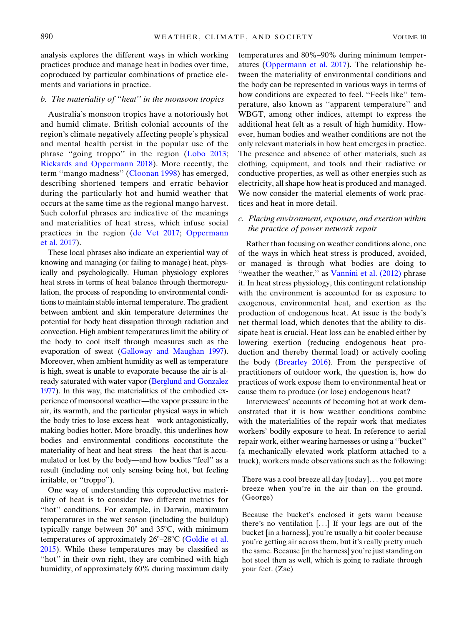analysis explores the different ways in which working practices produce and manage heat in bodies over time, coproduced by particular combinations of practice elements and variations in practice.

### b. The materiality of ''heat'' in the monsoon tropics

Australia's monsoon tropics have a notoriously hot and humid climate. British colonial accounts of the region's climate negatively affecting people's physical and mental health persist in the popular use of the phrase ''going troppo'' in the region (Lobo 2013; Rickards and Oppermann 2018). More recently, the term ''mango madness'' (Cloonan 1998) has emerged, describing shortened tempers and erratic behavior during the particularly hot and humid weather that occurs at the same time as the regional mango harvest. Such colorful phrases are indicative of the meanings and materialities of heat stress, which infuse social practices in the region (de Vet 2017; Oppermann et al. 2017).

These local phrases also indicate an experiential way of knowing and managing (or failing to manage) heat, physically and psychologically. Human physiology explores heat stress in terms of heat balance through thermoregulation, the process of responding to environmental conditions to maintain stable internal temperature. The gradient between ambient and skin temperature determines the potential for body heat dissipation through radiation and convection. High ambient temperatures limit the ability of the body to cool itself through measures such as the evaporation of sweat (Galloway and Maughan 1997). Moreover, when ambient humidity as well as temperature is high, sweat is unable to evaporate because the air is already saturated with water vapor (Berglund and Gonzalez 1977). In this way, the materialities of the embodied experience of monsoonal weather—the vapor pressure in the air, its warmth, and the particular physical ways in which the body tries to lose excess heat—work antagonistically, making bodies hotter. More broadly, this underlines how bodies and environmental conditions coconstitute the materiality of heat and heat stress—the heat that is accumulated or lost by the body—and how bodies ''feel'' as a result (including not only sensing being hot, but feeling irritable, or ''troppo'').

One way of understanding this coproductive materiality of heat is to consider two different metrics for "hot" conditions. For example, in Darwin, maximum temperatures in the wet season (including the buildup) typically range between  $30^{\circ}$  and  $35^{\circ}$ C, with minimum temperatures of approximately  $26^{\circ}$ – $28^{\circ}$ C (Goldie et al. 2015). While these temperatures may be classified as "hot" in their own right, they are combined with high humidity, of approximately 60% during maximum daily temperatures and 80%–90% during minimum temperatures (Oppermann et al. 2017). The relationship between the materiality of environmental conditions and the body can be represented in various ways in terms of how conditions are expected to feel. "Feels like" temperature, also known as ''apparent temperature'' and WBGT, among other indices, attempt to express the additional heat felt as a result of high humidity. However, human bodies and weather conditions are not the only relevant materials in how heat emerges in practice. The presence and absence of other materials, such as clothing, equipment, and tools and their radiative or conductive properties, as well as other energies such as electricity, all shape how heat is produced and managed. We now consider the material elements of work practices and heat in more detail.

# c. Placing environment, exposure, and exertion within the practice of power network repair

Rather than focusing on weather conditions alone, one of the ways in which heat stress is produced, avoided, or managed is through what bodies are doing to "weather the weather," as Vannini et al. (2012) phrase it. In heat stress physiology, this contingent relationship with the environment is accounted for as exposure to exogenous, environmental heat, and exertion as the production of endogenous heat. At issue is the body's net thermal load, which denotes that the ability to dissipate heat is crucial. Heat loss can be enabled either by lowering exertion (reducing endogenous heat production and thereby thermal load) or actively cooling the body (Brearley 2016). From the perspective of practitioners of outdoor work, the question is, how do practices of work expose them to environmental heat or cause them to produce (or lose) endogenous heat?

Interviewees' accounts of becoming hot at work demonstrated that it is how weather conditions combine with the materialities of the repair work that mediates workers' bodily exposure to heat. In reference to aerial repair work, either wearing harnesses or using a ''bucket'' (a mechanically elevated work platform attached to a truck), workers made observations such as the following:

There was a cool breeze all day [today]... you get more breeze when you're in the air than on the ground. (George)

Because the bucket's enclosed it gets warm because there's no ventilation [...] If your legs are out of the bucket [in a harness], you're usually a bit cooler because you're getting air across them, but it's really pretty much the same. Because [in the harness] you're just standing on hot steel then as well, which is going to radiate through your feet. (Zac)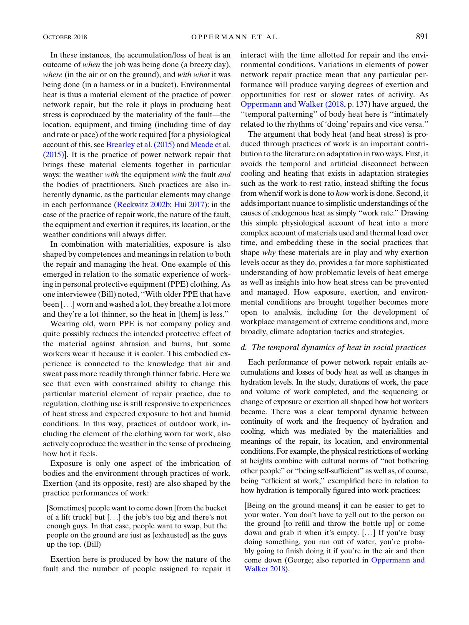In these instances, the accumulation/loss of heat is an outcome of when the job was being done (a breezy day), where (in the air or on the ground), and with what it was being done (in a harness or in a bucket). Environmental heat is thus a material element of the practice of power network repair, but the role it plays in producing heat stress is coproduced by the materiality of the fault—the location, equipment, and timing (including time of day and rate or pace) of the work required [for a physiological account of this, see Brearley et al. (2015) and Meade et al. (2015)]. It is the practice of power network repair that brings these material elements together in particular ways: the weather with the equipment with the fault and the bodies of practitioners. Such practices are also inherently dynamic, as the particular elements may change in each performance (Reckwitz 2002b; Hui 2017): in the case of the practice of repair work, the nature of the fault, the equipment and exertion it requires, its location, or the weather conditions will always differ.

In combination with materialities, exposure is also shaped by competences and meanings in relation to both the repair and managing the heat. One example of this emerged in relation to the somatic experience of working in personal protective equipment (PPE) clothing. As one interviewee (Bill) noted, ''With older PPE that have been [...] worn and washed a lot, they breathe a lot more and they're a lot thinner, so the heat in [them] is less.''

Wearing old, worn PPE is not company policy and quite possibly reduces the intended protective effect of the material against abrasion and burns, but some workers wear it because it is cooler. This embodied experience is connected to the knowledge that air and sweat pass more readily through thinner fabric. Here we see that even with constrained ability to change this particular material element of repair practice, due to regulation, clothing use is still responsive to experiences of heat stress and expected exposure to hot and humid conditions. In this way, practices of outdoor work, including the element of the clothing worn for work, also actively coproduce the weather in the sense of producing how hot it feels.

Exposure is only one aspect of the imbrication of bodies and the environment through practices of work. Exertion (and its opposite, rest) are also shaped by the practice performances of work:

[Sometimes] people want to come down [from the bucket of a lift truck] but [...] the job's too big and there's not enough guys. In that case, people want to swap, but the people on the ground are just as [exhausted] as the guys up the top. (Bill)

Exertion here is produced by how the nature of the fault and the number of people assigned to repair it interact with the time allotted for repair and the environmental conditions. Variations in elements of power network repair practice mean that any particular performance will produce varying degrees of exertion and opportunities for rest or slower rates of activity. As Oppermann and Walker (2018, p. 137) have argued, the ''temporal patterning'' of body heat here is ''intimately related to the rhythms of 'doing' repairs and vice versa.''

The argument that body heat (and heat stress) is produced through practices of work is an important contribution to the literature on adaptation in two ways. First, it avoids the temporal and artificial disconnect between cooling and heating that exists in adaptation strategies such as the work-to-rest ratio, instead shifting the focus from when/if work is done to how work is done. Second, it adds important nuance to simplistic understandings of the causes of endogenous heat as simply ''work rate.'' Drawing this simple physiological account of heat into a more complex account of materials used and thermal load over time, and embedding these in the social practices that shape why these materials are in play and why exertion levels occur as they do, provides a far more sophisticated understanding of how problematic levels of heat emerge as well as insights into how heat stress can be prevented and managed. How exposure, exertion, and environmental conditions are brought together becomes more open to analysis, including for the development of workplace management of extreme conditions and, more broadly, climate adaptation tactics and strategies.

#### d. The temporal dynamics of heat in social practices

Each performance of power network repair entails accumulations and losses of body heat as well as changes in hydration levels. In the study, durations of work, the pace and volume of work completed, and the sequencing or change of exposure or exertion all shaped how hot workers became. There was a clear temporal dynamic between continuity of work and the frequency of hydration and cooling, which was mediated by the materialities and meanings of the repair, its location, and environmental conditions. For example, the physical restrictions of working at heights combine with cultural norms of ''not bothering other people'' or ''being self-sufficient'' as well as, of course, being ''efficient at work,'' exemplified here in relation to how hydration is temporally figured into work practices:

[Being on the ground means] it can be easier to get to your water. You don't have to yell out to the person on the ground [to refill and throw the bottle up] or come down and grab it when it's empty. [...] If you're busy doing something, you run out of water, you're probably going to finish doing it if you're in the air and then come down (George; also reported in Oppermann and Walker 2018).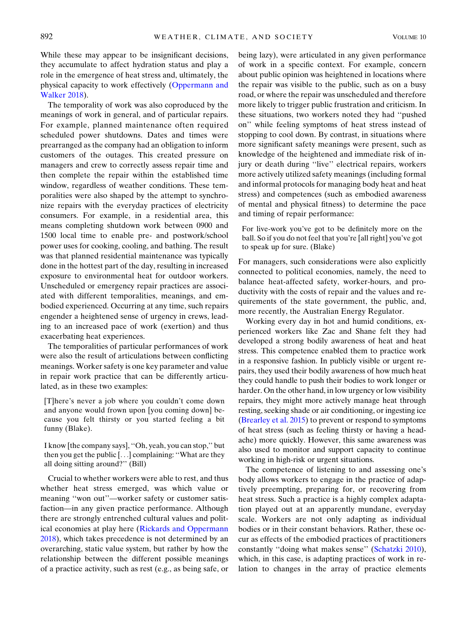While these may appear to be insignificant decisions, they accumulate to affect hydration status and play a role in the emergence of heat stress and, ultimately, the physical capacity to work effectively (Oppermann and Walker 2018).

The temporality of work was also coproduced by the meanings of work in general, and of particular repairs. For example, planned maintenance often required scheduled power shutdowns. Dates and times were prearranged as the company had an obligation to inform customers of the outages. This created pressure on managers and crew to correctly assess repair time and then complete the repair within the established time window, regardless of weather conditions. These temporalities were also shaped by the attempt to synchronize repairs with the everyday practices of electricity consumers. For example, in a residential area, this means completing shutdown work between 0900 and 1500 local time to enable pre- and postwork/school power uses for cooking, cooling, and bathing. The result was that planned residential maintenance was typically done in the hottest part of the day, resulting in increased exposure to environmental heat for outdoor workers. Unscheduled or emergency repair practices are associated with different temporalities, meanings, and embodied experienced. Occurring at any time, such repairs engender a heightened sense of urgency in crews, leading to an increased pace of work (exertion) and thus exacerbating heat experiences.

The temporalities of particular performances of work were also the result of articulations between conflicting meanings. Worker safety is one key parameter and value in repair work practice that can be differently articulated, as in these two examples:

[T]here's never a job where you couldn't come down and anyone would frown upon [you coming down] because you felt thirsty or you started feeling a bit funny (Blake).

I know [the company says], ''Oh, yeah, you can stop,'' but then you get the public [...] complaining: ''What are they all doing sitting around?'' (Bill)

Crucial to whether workers were able to rest, and thus whether heat stress emerged, was which value or meaning "won out"—worker safety or customer satisfaction—in any given practice performance. Although there are strongly entrenched cultural values and political economies at play here (Rickards and Oppermann 2018), which takes precedence is not determined by an overarching, static value system, but rather by how the relationship between the different possible meanings of a practice activity, such as rest (e.g., as being safe, or being lazy), were articulated in any given performance of work in a specific context. For example, concern about public opinion was heightened in locations where the repair was visible to the public, such as on a busy road, or where the repair was unscheduled and therefore more likely to trigger public frustration and criticism. In these situations, two workers noted they had ''pushed on'' while feeling symptoms of heat stress instead of stopping to cool down. By contrast, in situations where more significant safety meanings were present, such as knowledge of the heightened and immediate risk of injury or death during ''live'' electrical repairs, workers more actively utilized safety meanings (including formal and informal protocols for managing body heat and heat stress) and competences (such as embodied awareness of mental and physical fitness) to determine the pace and timing of repair performance:

For live-work you've got to be definitely more on the ball. So if you do not feel that you're [all right] you've got to speak up for sure. (Blake)

For managers, such considerations were also explicitly connected to political economies, namely, the need to balance heat-affected safety, worker-hours, and productivity with the costs of repair and the values and requirements of the state government, the public, and, more recently, the Australian Energy Regulator.

Working every day in hot and humid conditions, experienced workers like Zac and Shane felt they had developed a strong bodily awareness of heat and heat stress. This competence enabled them to practice work in a responsive fashion. In publicly visible or urgent repairs, they used their bodily awareness of how much heat they could handle to push their bodies to work longer or harder. On the other hand, in low urgency or low visibility repairs, they might more actively manage heat through resting, seeking shade or air conditioning, or ingesting ice (Brearley et al. 2015) to prevent or respond to symptoms of heat stress (such as feeling thirsty or having a headache) more quickly. However, this same awareness was also used to monitor and support capacity to continue working in high-risk or urgent situations.

The competence of listening to and assessing one's body allows workers to engage in the practice of adaptively preempting, preparing for, or recovering from heat stress. Such a practice is a highly complex adaptation played out at an apparently mundane, everyday scale. Workers are not only adapting as individual bodies or in their constant behaviors. Rather, these occur as effects of the embodied practices of practitioners constantly ''doing what makes sense'' (Schatzki 2010), which, in this case, is adapting practices of work in relation to changes in the array of practice elements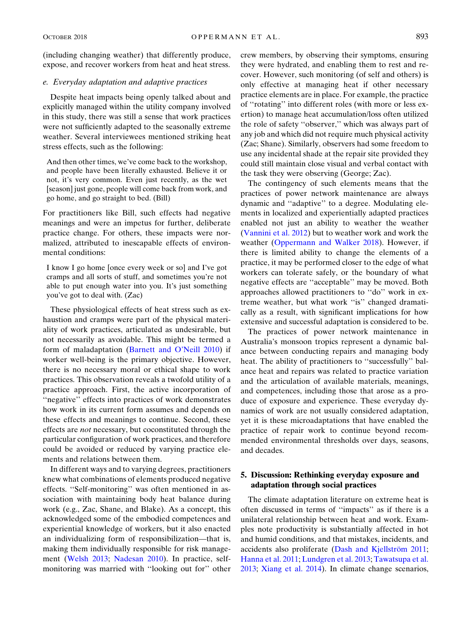(including changing weather) that differently produce, expose, and recover workers from heat and heat stress.

#### e. Everyday adaptation and adaptive practices

Despite heat impacts being openly talked about and explicitly managed within the utility company involved in this study, there was still a sense that work practices were not sufficiently adapted to the seasonally extreme weather. Several interviewees mentioned striking heat stress effects, such as the following:

And then other times, we've come back to the workshop, and people have been literally exhausted. Believe it or not, it's very common. Even just recently, as the wet [season] just gone, people will come back from work, and go home, and go straight to bed. (Bill)

For practitioners like Bill, such effects had negative meanings and were an impetus for further, deliberate practice change. For others, these impacts were normalized, attributed to inescapable effects of environmental conditions:

I know I go home [once every week or so] and I've got cramps and all sorts of stuff, and sometimes you're not able to put enough water into you. It's just something you've got to deal with. (Zac)

These physiological effects of heat stress such as exhaustion and cramps were part of the physical materiality of work practices, articulated as undesirable, but not necessarily as avoidable. This might be termed a form of maladaptation (Barnett and O'Neill 2010) if worker well-being is the primary objective. However, there is no necessary moral or ethical shape to work practices. This observation reveals a twofold utility of a practice approach. First, the active incorporation of ''negative'' effects into practices of work demonstrates how work in its current form assumes and depends on these effects and meanings to continue. Second, these effects are not necessary, but coconstituted through the particular configuration of work practices, and therefore could be avoided or reduced by varying practice elements and relations between them.

In different ways and to varying degrees, practitioners knew what combinations of elements produced negative effects. ''Self-monitoring'' was often mentioned in association with maintaining body heat balance during work (e.g., Zac, Shane, and Blake). As a concept, this acknowledged some of the embodied competences and experiential knowledge of workers, but it also enacted an individualizing form of responsibilization—that is, making them individually responsible for risk management (Welsh 2013; Nadesan 2010). In practice, selfmonitoring was married with ''looking out for'' other crew members, by observing their symptoms, ensuring they were hydrated, and enabling them to rest and recover. However, such monitoring (of self and others) is only effective at managing heat if other necessary practice elements are in place. For example, the practice of ''rotating'' into different roles (with more or less exertion) to manage heat accumulation/loss often utilized the role of safety ''observer,'' which was always part of any job and which did not require much physical activity (Zac; Shane). Similarly, observers had some freedom to use any incidental shade at the repair site provided they could still maintain close visual and verbal contact with the task they were observing (George; Zac).

The contingency of such elements means that the practices of power network maintenance are always dynamic and ''adaptive'' to a degree. Modulating elements in localized and experientially adapted practices enabled not just an ability to weather the weather (Vannini et al. 2012) but to weather work and work the weather (Oppermann and Walker 2018). However, if there is limited ability to change the elements of a practice, it may be performed closer to the edge of what workers can tolerate safely, or the boundary of what negative effects are ''acceptable'' may be moved. Both approaches allowed practitioners to ''do'' work in extreme weather, but what work ''is'' changed dramatically as a result, with significant implications for how extensive and successful adaptation is considered to be.

The practices of power network maintenance in Australia's monsoon tropics represent a dynamic balance between conducting repairs and managing body heat. The ability of practitioners to ''successfully'' balance heat and repairs was related to practice variation and the articulation of available materials, meanings, and competences, including those that arose as a produce of exposure and experience. These everyday dynamics of work are not usually considered adaptation, yet it is these microadaptations that have enabled the practice of repair work to continue beyond recommended environmental thresholds over days, seasons, and decades.

# 5. Discussion: Rethinking everyday exposure and adaptation through social practices

The climate adaptation literature on extreme heat is often discussed in terms of ''impacts'' as if there is a unilateral relationship between heat and work. Examples note productivity is substantially affected in hot and humid conditions, and that mistakes, incidents, and accidents also proliferate (Dash and Kjellström 2011; Hanna et al. 2011; Lundgren et al. 2013; Tawatsupa et al. 2013; Xiang et al. 2014). In climate change scenarios,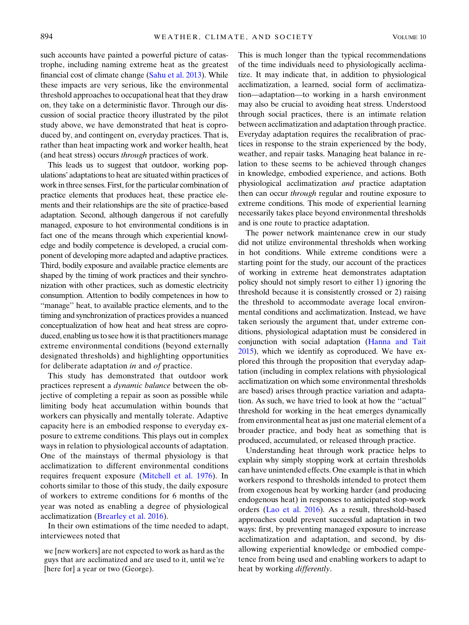such accounts have painted a powerful picture of catastrophe, including naming extreme heat as the greatest financial cost of climate change (Sahu et al. 2013). While these impacts are very serious, like the environmental threshold approaches to occupational heat that they draw on, they take on a deterministic flavor. Through our discussion of social practice theory illustrated by the pilot study above, we have demonstrated that heat is coproduced by, and contingent on, everyday practices. That is, rather than heat impacting work and worker health, heat (and heat stress) occurs through practices of work.

This leads us to suggest that outdoor, working populations' adaptations to heat are situated within practices of work in three senses. First, for the particular combination of practice elements that produces heat, these practice elements and their relationships are the site of practice-based adaptation. Second, although dangerous if not carefully managed, exposure to hot environmental conditions is in fact one of the means through which experiential knowledge and bodily competence is developed, a crucial component of developing more adapted and adaptive practices. Third, bodily exposure and available practice elements are shaped by the timing of work practices and their synchronization with other practices, such as domestic electricity consumption. Attention to bodily competences in how to ''manage'' heat, to available practice elements, and to the timing and synchronization of practices provides a nuanced conceptualization of how heat and heat stress are coproduced, enabling us to see how it is that practitioners manage extreme environmental conditions (beyond externally designated thresholds) and highlighting opportunities for deliberate adaptation in and of practice.

This study has demonstrated that outdoor work practices represent a dynamic balance between the objective of completing a repair as soon as possible while limiting body heat accumulation within bounds that workers can physically and mentally tolerate. Adaptive capacity here is an embodied response to everyday exposure to extreme conditions. This plays out in complex ways in relation to physiological accounts of adaptation. One of the mainstays of thermal physiology is that acclimatization to different environmental conditions requires frequent exposure (Mitchell et al. 1976). In cohorts similar to those of this study, the daily exposure of workers to extreme conditions for 6 months of the year was noted as enabling a degree of physiological acclimatization (Brearley et al. 2016).

In their own estimations of the time needed to adapt, interviewees noted that

This is much longer than the typical recommendations of the time individuals need to physiologically acclimatize. It may indicate that, in addition to physiological acclimatization, a learned, social form of acclimatization—adaptation—to working in a harsh environment may also be crucial to avoiding heat stress. Understood through social practices, there is an intimate relation between acclimatization and adaptation through practice. Everyday adaptation requires the recalibration of practices in response to the strain experienced by the body, weather, and repair tasks. Managing heat balance in relation to these seems to be achieved through changes in knowledge, embodied experience, and actions. Both physiological acclimatization and practice adaptation then can occur through regular and routine exposure to extreme conditions. This mode of experiential learning necessarily takes place beyond environmental thresholds and is one route to practice adaptation.

The power network maintenance crew in our study did not utilize environmental thresholds when working in hot conditions. While extreme conditions were a starting point for the study, our account of the practices of working in extreme heat demonstrates adaptation policy should not simply resort to either 1) ignoring the threshold because it is consistently crossed or 2) raising the threshold to accommodate average local environmental conditions and acclimatization. Instead, we have taken seriously the argument that, under extreme conditions, physiological adaptation must be considered in conjunction with social adaptation (Hanna and Tait 2015), which we identify as coproduced. We have explored this through the proposition that everyday adaptation (including in complex relations with physiological acclimatization on which some environmental thresholds are based) arises through practice variation and adaptation. As such, we have tried to look at how the ''actual'' threshold for working in the heat emerges dynamically from environmental heat as just one material element of a broader practice, and body heat as something that is produced, accumulated, or released through practice.

Understanding heat through work practice helps to explain why simply stopping work at certain thresholds can have unintended effects. One example is that in which workers respond to thresholds intended to protect them from exogenous heat by working harder (and producing endogenous heat) in responses to anticipated stop-work orders (Lao et al. 2016). As a result, threshold-based approaches could prevent successful adaptation in two ways: first, by preventing managed exposure to increase acclimatization and adaptation, and second, by disallowing experiential knowledge or embodied competence from being used and enabling workers to adapt to heat by working differently.

we [new workers] are not expected to work as hard as the guys that are acclimatized and are used to it, until we're [here for] a year or two (George).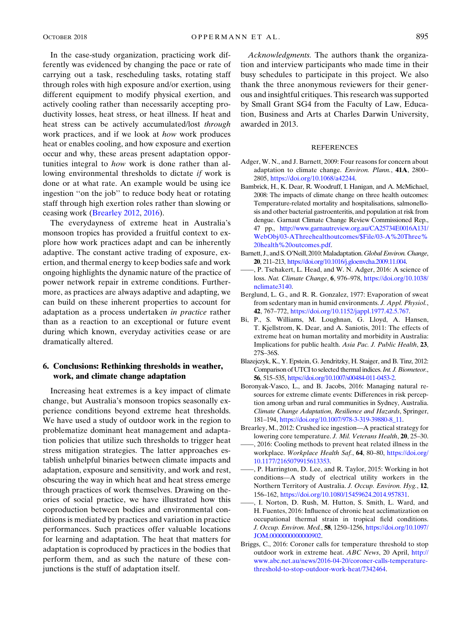different equipment to modify physical exertion, and actively cooling rather than necessarily accepting productivity losses, heat stress, or heat illness. If heat and heat stress can be actively accumulated/lost through work practices, and if we look at how work produces heat or enables cooling, and how exposure and exertion occur and why, these areas present adaptation opportunities integral to how work is done rather than allowing environmental thresholds to dictate if work is done or at what rate. An example would be using ice ingestion ''on the job'' to reduce body heat or rotating staff through high exertion roles rather than slowing or ceasing work (Brearley 2012, 2016).

The everydayness of extreme heat in Australia's monsoon tropics has provided a fruitful context to explore how work practices adapt and can be inherently adaptive. The constant active trading of exposure, exertion, and thermal energy to keep bodies safe and work ongoing highlights the dynamic nature of the practice of power network repair in extreme conditions. Furthermore, as practices are always adaptive and adapting, we can build on these inherent properties to account for adaptation as a process undertaken in practice rather than as a reaction to an exceptional or future event during which known, everyday activities cease or are dramatically altered.

# 6. Conclusions: Rethinking thresholds in weather, work, and climate change adaptation

Increasing heat extremes is a key impact of climate change, but Australia's monsoon tropics seasonally experience conditions beyond extreme heat thresholds. We have used a study of outdoor work in the region to problematize dominant heat management and adaptation policies that utilize such thresholds to trigger heat stress mitigation strategies. The latter approaches establish unhelpful binaries between climate impacts and adaptation, exposure and sensitivity, and work and rest, obscuring the way in which heat and heat stress emerge through practices of work themselves. Drawing on theories of social practice, we have illustrated how this coproduction between bodies and environmental conditions is mediated by practices and variation in practice performances. Such practices offer valuable locations for learning and adaptation. The heat that matters for adaptation is coproduced by practices in the bodies that perform them, and as such the nature of these conjunctions is the stuff of adaptation itself.

Acknowledgments. The authors thank the organization and interview participants who made time in their busy schedules to participate in this project. We also thank the three anonymous reviewers for their generous and insightful critiques. This research was supported by Small Grant SG4 from the Faculty of Law, Education, Business and Arts at Charles Darwin University, awarded in 2013.

#### REFERENCES

- Adger, W. N., and J. Barnett, 2009: Four reasons for concern about adaptation to climate change. Environ. Plann., 41A, 2800– 2805, <https://doi.org/10.1068/a42244>.
- Bambrick, H., K. Dear, R. Woodruff, I. Hanigan, and A. McMichael, 2008: The impacts of climate change on three health outcomes: Temperature-related mortality and hospitalisations, salmonellosis and other bacterial gastroenteritis, and population at risk from dengue. Garnaut Climate Change Review Commissioned Rep., 47 pp., [http://www.garnautreview.org.au/CA25734E0016A131/](http://www.garnautreview.org.au/CA25734E0016A131/WebObj/03-AThreehealthoutcomes/$File/03-A%20Three%20health%20outcomes.pdf) [WebObj/03-AThreehealthoutcomes/\\$File/03-A%20Three%](http://www.garnautreview.org.au/CA25734E0016A131/WebObj/03-AThreehealthoutcomes/$File/03-A%20Three%20health%20outcomes.pdf) [20health%20outcomes.pdf.](http://www.garnautreview.org.au/CA25734E0016A131/WebObj/03-AThreehealthoutcomes/$File/03-A%20Three%20health%20outcomes.pdf)
- Barnett, J., and S. O'Neill, 2010: Maladaptation. Global Environ. Change, 20, 211–213, [https://doi.org/10.1016/j.gloenvcha.2009.11.004.](https://doi.org/10.1016/j.gloenvcha.2009.11.004)
- ——, P. Tschakert, L. Head, and W. N. Adger, 2016: A science of loss. Nat. Climate Change, 6, 976–978, [https://doi.org/10.1038/](https://doi.org/10.1038/nclimate3140) [nclimate3140](https://doi.org/10.1038/nclimate3140).
- Berglund, L. G., and R. R. Gonzalez, 1977: Evaporation of sweat from sedentary man in humid environments. J. Appl. Physiol., 42, 767–772, <https://doi.org/10.1152/jappl.1977.42.5.767>.
- Bi, P., S. Williams, M. Loughnan, G. Lloyd, A. Hansen, T. Kjellstrom, K. Dear, and A. Saniotis, 2011: The effects of extreme heat on human mortality and morbidity in Australia: Implications for public health. Asia Pac. J. Public Health, 23, 27S–36S.
- Blazejczyk, K., Y. Epstein, G. Jendritzky, H. Staiger, and B. Tinz, 2012: Comparison of UTCI to selected thermal indices.Int. J. Biometeor., 56, 515–535, <https://doi.org/10.1007/s00484-011-0453-2>.
- Boronyak-Vasco, L., and B. Jacobs, 2016: Managing natural resources for extreme climate events: Differences in risk perception among urban and rural communities in Sydney, Australia. Climate Change Adaptation, Resilience and Hazards, Springer, 181–194, [https://doi.org/10.1007/978-3-319-39880-8\\_11](https://doi.org/10.1007/978-3-319-39880-8_11).
- Brearley, M., 2012: Crushed ice ingestion—A practical strategy for lowering core temperature. J. Mil. Veterans Health, 20, 25–30.
- ——, 2016: Cooling methods to prevent heat related illness in the workplace. Workplace Health Saf., 64, 80–80, [https://doi.org/](https://doi.org/10.1177/2165079915613353) [10.1177/2165079915613353](https://doi.org/10.1177/2165079915613353).
- ——, P. Harrington, D. Lee, and R. Taylor, 2015: Working in hot conditions—A study of electrical utility workers in the Northern Territory of Australia. J. Occup. Environ. Hyg., 12, 156–162, [https://doi.org/10.1080/15459624.2014.957831.](https://doi.org/10.1080/15459624.2014.957831)
- ——, I. Norton, D. Rush, M. Hutton, S. Smith, L. Ward, and H. Fuentes, 2016: Influence of chronic heat acclimatization on occupational thermal strain in tropical field conditions. J. Occup. Environ. Med., 58, 1250–1256, [https://doi.org/10.1097/](https://doi.org/10.1097/JOM.0000000000000902) [JOM.0000000000000902](https://doi.org/10.1097/JOM.0000000000000902).
- Briggs, C., 2016: Coroner calls for temperature threshold to stop outdoor work in extreme heat. ABC News, 20 April, [http://](http://www.abc.net.au/news/2016-04-20/coroner-calls-temperature-threshold-to-stop-outdoor-work-heat/7342464) [www.abc.net.au/news/2016-04-20/coroner-calls-temperature](http://www.abc.net.au/news/2016-04-20/coroner-calls-temperature-threshold-to-stop-outdoor-work-heat/7342464)[threshold-to-stop-outdoor-work-heat/7342464](http://www.abc.net.au/news/2016-04-20/coroner-calls-temperature-threshold-to-stop-outdoor-work-heat/7342464).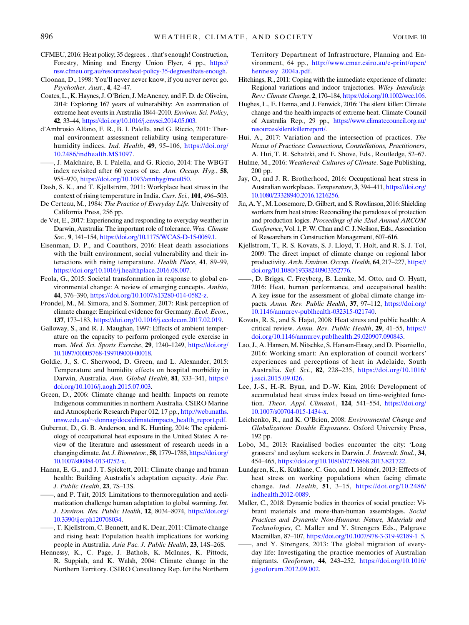- CFMEU, 2016: Heat policy; 35 degrees...that's enough! Construction, Forestry, Mining and Energy Union Flyer, 4 pp., [https://](https://nsw.cfmeu.org.au/resources/heat-policy-35-degreesthats-enough) [nsw.cfmeu.org.au/resources/heat-policy-35-degreesthats-enough.](https://nsw.cfmeu.org.au/resources/heat-policy-35-degreesthats-enough)
- Cloonan, D., 1998: You'll never never know, if you never never go. Psychother. Aust., 4, 42–47.
- Coates, L., K. Haynes, J. O'Brien, J. McAneney, and F. D. de Oliveira, 2014: Exploring 167 years of vulnerability: An examination of extreme heat events in Australia 1844–2010. Environ. Sci. Policy, 42, 33–44, <https://doi.org/10.1016/j.envsci.2014.05.003>.
- d'Ambrosio Alfano, F. R., B. I. Palella, and G. Riccio, 2011: Thermal environment assessment reliability using temperaturehumidity indices. Ind. Health, 49, 95-106, [https://doi.org/](https://doi.org/10.2486/indhealth.MS1097) [10.2486/indhealth.MS1097](https://doi.org/10.2486/indhealth.MS1097).
- ——, J. Malchaire, B. I. Palella, and G. Riccio, 2014: The WBGT index revisited after 60 years of use. Ann. Occup. Hyg., 58, 955–970, <https://doi.org/10.1093/annhyg/meu050>.
- Dash, S. K., and T. Kjellström, 2011: Workplace heat stress in the context of rising temperature in India. Curr. Sci., 101, 496–503.
- De Certeau, M., 1984: The Practice of Everyday Life. University of California Press, 256 pp.
- de Vet, E., 2017: Experiencing and responding to everyday weather in Darwin, Australia: The important role of tolerance. Wea. Climate Soc., 9, 141–154, <https://doi.org/10.1175/WCAS-D-15-0069.1>.
- Eisenman, D. P., and Coauthors, 2016: Heat death associations with the built environment, social vulnerability and their interactions with rising temperature. Health Place, 41, 89–99, [https://doi.org/10.1016/j.healthplace.2016.08.007.](https://doi.org/10.1016/j.healthplace.2016.08.007)
- Feola, G., 2015: Societal transformation in response to global environmental change: A review of emerging concepts. Ambio, 44, 376–390, [https://doi.org/10.1007/s13280-014-0582-z.](https://doi.org/10.1007/s13280-014-0582-z)
- Frondel, M., M. Simora, and S. Sommer, 2017: Risk perception of climate change: Empirical evidence for Germany. Ecol. Econ., 137, 173–183, [https://doi.org/10.1016/j.ecolecon.2017.02.019.](https://doi.org/10.1016/j.ecolecon.2017.02.019)
- Galloway, S., and R. J. Maughan, 1997: Effects of ambient temperature on the capacity to perform prolonged cycle exercise in man. Med. Sci. Sports Exercise, 29, 1240–1249, [https://doi.org/](https://doi.org/10.1097/00005768-199709000-00018) [10.1097/00005768-199709000-00018](https://doi.org/10.1097/00005768-199709000-00018).
- Goldie, J., S. C. Sherwood, D. Green, and L. Alexander, 2015: Temperature and humidity effects on hospital morbidity in Darwin, Australia. Ann. Global Health, 81, 333–341, [https://](https://doi.org/10.1016/j.aogh.2015.07.003) [doi.org/10.1016/j.aogh.2015.07.003](https://doi.org/10.1016/j.aogh.2015.07.003).
- Green, D., 2006: Climate change and health: Impacts on remote Indigenous communities in northern Australia. CSIRO Marine and Atmospheric Research Paper 012, 17 pp., [http://web.maths.](http://web.maths.unsw.edu.au/~donnag/docs/climateimpacts_health_report.pdf) unsw.edu.au/~[donnag/docs/climateimpacts\\_health\\_report.pdf](http://web.maths.unsw.edu.au/~donnag/docs/climateimpacts_health_report.pdf).
- Gubernot, D., G. B. Anderson, and K. Hunting, 2014: The epidemiology of occupational heat exposure in the United States: A review of the literature and assessment of research needs in a changing climate. Int. J. Biometeor., 58, 1779–1788, [https://doi.org/](https://doi.org/10.1007/s00484-013-0752-x) [10.1007/s00484-013-0752-x.](https://doi.org/10.1007/s00484-013-0752-x)
- Hanna, E. G., and J. T. Spickett, 2011: Climate change and human health: Building Australia's adaptation capacity. Asia Pac. J. Public Health, 23, 7S–13S.
- ——, and P. Tait, 2015: Limitations to thermoregulation and acclimatization challenge human adaptation to global warming. Int. J. Environ. Res. Public Health, 12, 8034-8074, [https://doi.org/](https://doi.org/10.3390/ijerph120708034) [10.3390/ijerph120708034.](https://doi.org/10.3390/ijerph120708034)
- ——, T. Kjellstrom, C. Bennett, and K. Dear, 2011: Climate change and rising heat: Population health implications for working people in Australia. Asia Pac. J. Public Health, 23, 14S–26S.
- Hennessy, K., C. Page, J. Bathols, K. McInnes, K. Pittock, R. Suppiah, and K. Walsh, 2004: Climate change in the Northern Territory. CSIRO Consultancy Rep. for the Northern

Territory Department of Infrastructure, Planning and Environment, 64 pp., [http://www.cmar.csiro.au/e-print/open/](http://www.cmar.csiro.au/e-print/open/hennessy_2004a.pdf) [hennessy\\_2004a.pdf](http://www.cmar.csiro.au/e-print/open/hennessy_2004a.pdf).

- Hitchings, R., 2011: Coping with the immediate experience of climate: Regional variations and indoor trajectories. Wiley Interdiscip. Rev.: Climate Change, 2, 170–184, <https://doi.org/10.1002/wcc.106>.
- Hughes, L., E. Hanna, and J. Fenwick, 2016: The silent killer: Climate change and the health impacts of extreme heat. Climate Council of Australia Rep., 29 pp., [https://www.climatecouncil.org.au/](https://www.climatecouncil.org.au/resources/silentkillerreport/) [resources/silentkillerreport/](https://www.climatecouncil.org.au/resources/silentkillerreport/).
- Hui, A., 2017: Variation and the intersection of practices. The Nexus of Practices: Connections, Constellations, Practitioners, A. Hui, T. R. Schatzki, and E. Shove, Eds., Routledge, 52–67.
- Hulme, M., 2016: Weathered: Cultures of Climate. Sage Publishing, 200 pp.
- Jay, O., and J. R. Brotherhood, 2016: Occupational heat stress in Australian workplaces. Temperature, 3, 394-411, [https://doi.org/](https://doi.org/10.1080/23328940.2016.1216256) [10.1080/23328940.2016.1216256.](https://doi.org/10.1080/23328940.2016.1216256)
- Jia, A. Y.,M. Loosemore, D. Gilbert, and S. Rowlinson, 2016: Shielding workers from heat stress: Reconciling the paradoxes of protection and production logics. Proceedings of the 32nd Annual ARCOM Conference, Vol. 1, P.W. Chan and C. J. Neilson, Eds., Association of Researchers in Construction Management, 607–616.
- Kjellstrom, T., R. S. Kovats, S. J. Lloyd, T. Holt, and R. S. J. Tol, 2009: The direct impact of climate change on regional labor productivity. Arch. Environ. Occup. Health, 64, 217–227, [https://](https://doi.org/10.1080/19338240903352776) [doi.org/10.1080/19338240903352776.](https://doi.org/10.1080/19338240903352776)
- D. Briggs, C. Freyberg, B. Lemke, M. Otto, and O. Hyatt, 2016: Heat, human performance, and occupational health: A key issue for the assessment of global climate change impacts. Annu. Rev. Public Health, 37, 97-112, [https://doi.org/](https://doi.org/10.1146/annurev-publhealth-032315-021740) [10.1146/annurev-publhealth-032315-021740.](https://doi.org/10.1146/annurev-publhealth-032315-021740)
- Kovats, R. S., and S. Hajat, 2008: Heat stress and public health: A critical review. Annu. Rev. Public Health, 29, 41–55, [https://](https://doi.org/10.1146/annurev.publhealth.29.020907.090843) [doi.org/10.1146/annurev.publhealth.29.020907.090843](https://doi.org/10.1146/annurev.publhealth.29.020907.090843).
- Lao, J., A. Hansen, M. Nitschke, S. Hanson-Easey, and D. Pisaniello, 2016: Working smart: An exploration of council workers' experiences and perceptions of heat in Adelaide, South Australia. Saf. Sci., 82, 228–235, [https://doi.org/10.1016/](https://doi.org/10.1016/j.ssci.2015.09.026) [j.ssci.2015.09.026](https://doi.org/10.1016/j.ssci.2015.09.026).
- Lee, J.-S., H.-R. Byun, and D.-W. Kim, 2016: Development of accumulated heat stress index based on time-weighted function. Theor. Appl. Climatol., 124, 541-554, [https://doi.org/](https://doi.org/10.1007/s00704-015-1434-x) [10.1007/s00704-015-1434-x.](https://doi.org/10.1007/s00704-015-1434-x)
- Leichenko, R., and K. O'Brien, 2008: Environmental Change and Globalization: Double Exposures. Oxford University Press, 192 pp.
- Lobo, M., 2013: Racialised bodies encounter the city: 'Long grassers' and asylum seekers in Darwin. J. Intercult. Stud., 34, 454–465, [https://doi.org/10.1080/07256868.2013.821722.](https://doi.org/10.1080/07256868.2013.821722)
- Lundgren, K., K. Kuklane, C. Gao, and I. Holmér, 2013: Effects of heat stress on working populations when facing climate change. Ind. Health, 51, 3–15, [https://doi.org/10.2486/](https://doi.org/10.2486/indhealth.2012-0089) [indhealth.2012-0089](https://doi.org/10.2486/indhealth.2012-0089).
- Maller, C., 2018: Dynamic bodies in theories of social practice: Vibrant materials and more-than-human assemblages. Social Practices and Dynamic Non-Humans: Nature, Materials and Technologies, C. Maller and Y. Strengers Eds., Palgrave Macmillan, 87–107, [https://doi.org/10.1007/978-3-319-92189-1\\_5.](https://doi.org/10.1007/978-3-319-92189-1_5)
- and Y. Strengers, 2013: The global migration of everyday life: Investigating the practice memories of Australian migrants. Geoforum, 44, 243–252, [https://doi.org/10.1016/](https://doi.org/10.1016/j.geoforum.2012.09.002) [j.geoforum.2012.09.002.](https://doi.org/10.1016/j.geoforum.2012.09.002)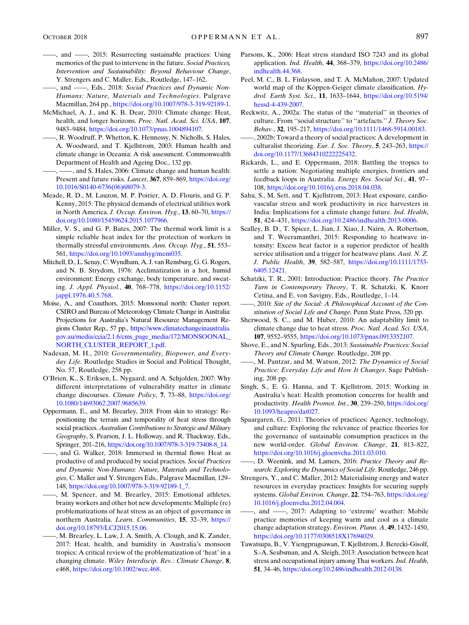- ——, and ——, 2015: Resurrecting sustainable practices: Using memories of the past to intervene in the future. Social Practices, Intervention and Sustainability: Beyond Behaviour Change, Y. Strengers and C. Maller, Eds., Routledge, 147–162.
- -, and -, Eds., 2018: Social Practices and Dynamic Non-Humans: Nature, Materials and Technologies. Palgrave Macmillan, 264 pp., [https://doi.org/10.1007/978-3-319-92189-1.](https://doi.org/10.1007/978-3-319-92189-1)
- McMichael, A. J., and K. B. Dear, 2010: Climate change: Heat, health, and longer horizons. Proc. Natl. Acad. Sci. USA, 107, 9483–9484, [https://doi.org/10.1073/pnas.1004894107.](https://doi.org/10.1073/pnas.1004894107)
- ——, R. Woodruff, P. Whetton, K. Hennessy, N. Nicholls, S. Hales, A. Woodward, and T. Kjellstrom, 2003: Human health and climate change in Oceania: A risk assessment. Commonwealth Department of Health and Ageing Doc., 132 pp.
- -, and S. Hales, 2006: Climate change and human health: Present and future risks. Lancet, 367, 859–869, [https://doi.org/](https://doi.org/10.1016/S0140-6736(06)68079-3) [10.1016/S0140-6736\(06\)68079-3](https://doi.org/10.1016/S0140-6736(06)68079-3).
- Meade, R. D., M. Lauzon, M. P. Poirier, A. D. Flouris, and G. P. Kenny, 2015: The physical demands of electrical utilities work in North America. J. Occup. Environ. Hyg., 13, 60–70, [https://](https://doi.org/10.1080/15459624.2015.1077966) [doi.org/10.1080/15459624.2015.1077966.](https://doi.org/10.1080/15459624.2015.1077966)
- Miller, V. S., and G. P. Bates, 2007: The thermal work limit is a simple reliable heat index for the protection of workers in thermally stressful environments. Ann. Occup. Hyg.,  $51$ ,  $553-$ 561, [https://doi.org/10.1093/annhyg/mem035.](https://doi.org/10.1093/annhyg/mem035)
- Mitchell, D., L. Senay, C.Wyndham, A. J. van Rensburg, G. G. Rogers, and N. B. Strydom, 1976: Acclimatization in a hot, humid environment: Energy exchange, body temperature, and sweating. J. Appl. Physiol., 40, 768–778, [https://doi.org/10.1152/](https://doi.org/10.1152/jappl.1976.40.5.768) [jappl.1976.40.5.768.](https://doi.org/10.1152/jappl.1976.40.5.768)
- Moise, A., and Coauthors, 2015: Monsoonal north: Cluster report. CSIRO and Bureau of Meteorology Climate Change in Australia: Projections for Australia's Natural Resource Management Regions Cluster Rep., 57 pp., [https://www.climatechangeinaustralia.](https://www.climatechangeinaustralia.gov.au/media/ccia/2.1.6/cms_page_media/172/MONSOONAL_NORTH_CLUSTER_REPORT_1.pdf) [gov.au/media/ccia/2.1.6/cms\\_page\\_media/172/MONSOONAL\\_](https://www.climatechangeinaustralia.gov.au/media/ccia/2.1.6/cms_page_media/172/MONSOONAL_NORTH_CLUSTER_REPORT_1.pdf) [NORTH\\_CLUSTER\\_REPORT\\_1.pdf](https://www.climatechangeinaustralia.gov.au/media/ccia/2.1.6/cms_page_media/172/MONSOONAL_NORTH_CLUSTER_REPORT_1.pdf).
- Nadesan, M. H., 2010: Governmentality, Biopower, and Everyday Life. Routledge Studies in Social and Political Thought, No. 57, Routledge, 258 pp.
- O'Brien, K., S. Eriksen, L. Nygaard, and A. Schjolden, 2007: Why different interpretations of vulnerability matter in climate change discourses. Climate Policy, 7, 73–88, [https://doi.org/](https://doi.org/10.1080/14693062.2007.9685639) [10.1080/14693062.2007.9685639](https://doi.org/10.1080/14693062.2007.9685639).
- Oppermann, E., and M. Brearley, 2018: From skin to strategy: Repositioning the terrain and temporality of heat stress through social practices. Australian Contributions to Strategic and Military Geography, S. Pearson, J. L. Holloway, and R. Thackway, Eds., Springer, 201–216, [https://doi.org/10.1007/978-3-319-73408-8\\_14.](https://doi.org/10.1007/978-3-319-73408-8_14)
- ——, and G. Walker, 2018: Immersed in thermal flows: Heat as productive of and produced by social practices. Social Practices and Dynamic Non-Humans: Nature, Materials and Technologies, C. Maller and Y. Strengers Eds., Palgrave Macmillan, 129– 148, [https://doi.org/10.1007/978-3-319-92189-1\\_7.](https://doi.org/10.1007/978-3-319-92189-1_7)
- -, M. Spencer, and M. Brearley, 2015: Emotional athletes, brainy workers and other hot new developments: Multiple (re) problematizations of heat stress as an object of governance in northern Australia. Learn. Communities, 15, 32–39, [https://](https://doi.org/10.18793/LCJ2015.15.06) [doi.org/10.18793/LCJ2015.15.06.](https://doi.org/10.18793/LCJ2015.15.06)
- ——, M. Brearley, L. Law, J. A. Smith, A. Clough, and K. Zander, 2017: Heat, health, and humidity in Australia's monsoon tropics: A critical review of the problematization of 'heat' in a changing climate. Wiley Interdiscip. Rev.: Climate Change, 8, e468, [https://doi.org/10.1002/wcc.468.](https://doi.org/10.1002/wcc.468)
- Parsons, K., 2006: Heat stress standard ISO 7243 and its global application. Ind. Health, 44, 368–379, [https://doi.org/10.2486/](https://doi.org/10.2486/indhealth.44.368) [indhealth.44.368](https://doi.org/10.2486/indhealth.44.368).
- Peel, M. C., B. L. Finlayson, and T. A. McMahon, 2007: Updated world map of the Köppen-Geiger climate classification. Hydrol. Earth Syst. Sci., 11, 1633–1644, [https://doi.org/10.5194/](https://doi.org/10.5194/hessd-4-439-2007) [hessd-4-439-2007](https://doi.org/10.5194/hessd-4-439-2007).
- Reckwitz, A., 2002a: The status of the ''material'' in theories of culture. From ''social structure'' to ''artefacts.'' J. Theory Soc. Behav., 32, 195–217, <https://doi.org/10.1111/1468-5914.00183>.
- ——, 2002b: Toward a theory of social practices: A development in culturalist theorizing. Eur. J. Soc. Theory, 5, 243–263, [https://](https://doi.org/10.1177/13684310222225432) [doi.org/10.1177/13684310222225432](https://doi.org/10.1177/13684310222225432).
- Rickards, L., and E. Oppermann, 2018: Battling the tropics to settle a nation: Negotiating multiple energies, frontiers and feedback loops in Australia. Energy Res. Social Sci., 41, 97– 108, <https://doi.org/10.1016/j.erss.2018.04.038>.
- Sahu, S., M. Sett, and T. Kjellstrom, 2013: Heat exposure, cardiovascular stress and work productivity in rice harvesters in India: Implications for a climate change future. Ind. Health, 51, 424–431, [https://doi.org/10.2486/indhealth.2013-0006.](https://doi.org/10.2486/indhealth.2013-0006)
- Scalley, B. D., T. Spicer, L. Jian, J. Xiao, J. Nairn, A. Robertson, and T. Weeramanthri, 2015: Responding to heatwave intensity: Excess heat factor is a superior predictor of health service utilisation and a trigger for heatwave plans. Aust. N. Z. J. Public Health, 39, 582–587, [https://doi.org/10.1111/1753-](https://doi.org/10.1111/1753-6405.12421) [6405.12421.](https://doi.org/10.1111/1753-6405.12421)
- Schatzki, T. R., 2001: Introduction: Practice theory. The Practice Turn in Contemporary Theory, T. R. Schatzki, K. Knorr Cetina, and E. von Savigny, Eds., Routledge, 1–14.
- ——, 2010: Site of the Social: A Philosophical Account of the Constitution of Social Life and Change. Penn State Press, 320 pp.
- Sherwood, S. C., and M. Huber, 2010: An adaptability limit to climate change due to heat stress. Proc. Natl. Acad. Sci. USA, 107, 9552–9555, [https://doi.org/10.1073/pnas.0913352107.](https://doi.org/10.1073/pnas.0913352107)
- Shove, E., and N. Spurling, Eds., 2013: Sustainable Practices: Social Theory and Climate Change. Routledge, 208 pp.
- -, M. Pantzar, and M. Watson, 2012: The Dynamics of Social Practice: Everyday Life and How It Changes. Sage Publishing, 208 pp.
- Singh, S., E. G. Hanna, and T. Kjellstrom, 2015: Working in Australia's heat: Health promotion concerns for health and productivity. Health Promot. Int., 30, 239–250, [https://doi.org/](https://doi.org/10.1093/heapro/dat027) [10.1093/heapro/dat027](https://doi.org/10.1093/heapro/dat027).
- Spaargaren, G., 2011: Theories of practices: Agency, technology, and culture: Exploring the relevance of practice theories for the governance of sustainable consumption practices in the new world-order. Global Environ. Change, 21, 813–822, [https://doi.org/10.1016/j.gloenvcha.2011.03.010.](https://doi.org/10.1016/j.gloenvcha.2011.03.010)
- -, D. Weenink, and M. Lamers, 2016: Practice Theory and Research: Exploring the Dynamics of Social Life. Routledge, 246 pp.
- Strengers, Y., and C. Maller, 2012: Materialising energy and water resources in everyday practices: Insights for securing supply systems. Global Environ. Change, 22, 754–763, [https://doi.org/](https://doi.org/10.1016/j.gloenvcha.2012.04.004) [10.1016/j.gloenvcha.2012.04.004.](https://doi.org/10.1016/j.gloenvcha.2012.04.004)
- ——, and ——, 2017: Adapting to 'extreme' weather: Mobile practice memories of keeping warm and cool as a climate change adaptation strategy. Environ. Plann. A, 49, 1432–1450, [https://doi.org/10.1177/0308518X17694029.](https://doi.org/10.1177/0308518X17694029)
- Tawatsupa, B., V. Yiengprugsawan, T. Kjellstrom, J. Berecki-Gisolf, S.-A. Seubsman, and A. Sleigh, 2013: Association between heat stress and occupational injury among Thai workers.Ind. Health, 51, 34–46, <https://doi.org/10.2486/indhealth.2012-0138>.